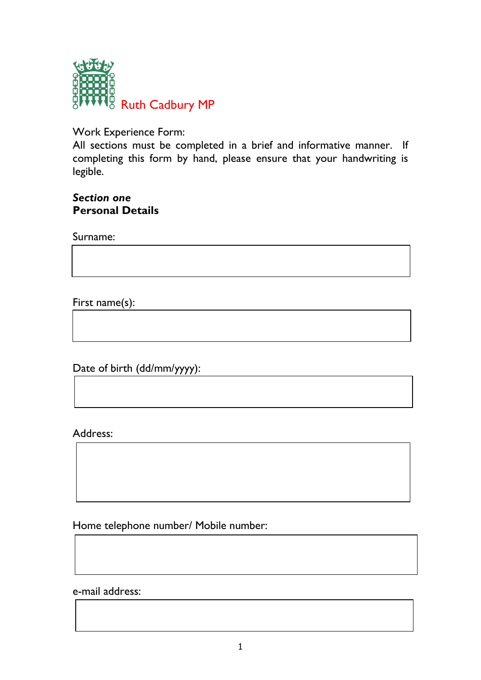

Work Experience Form:

All sections must be completed in a brief and informative manner. If completing this form by hand, please ensure that your handwriting is legible.

#### *Section one* **Personal Details**

Surname:

First name(s):

Date of birth (dd/mm/yyyy):

Address:

Home telephone number/ Mobile number:

e-mail address: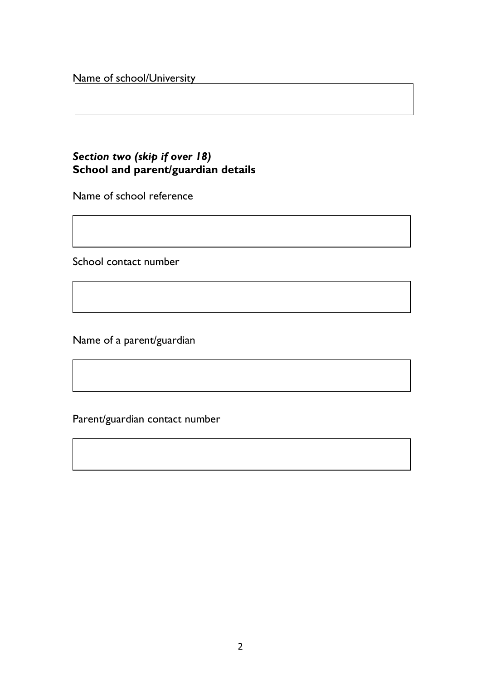#### Name of school/University

# *Section two (skip if over 18)* **School and parent/guardian details**

Name of school reference

School contact number

Name of a parent/guardian

Parent/guardian contact number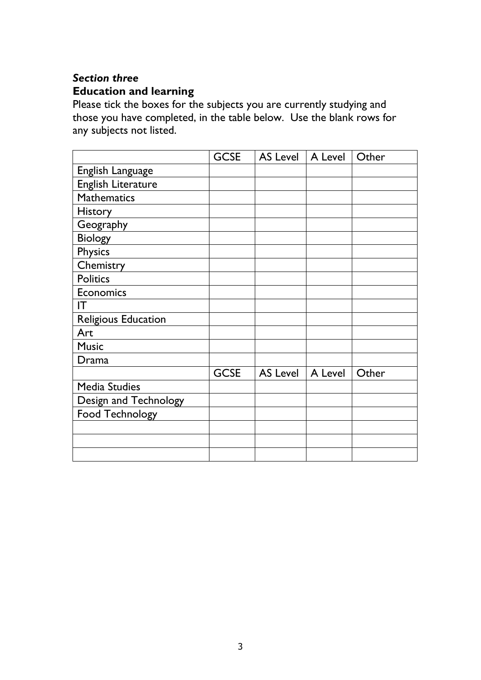## *Section three* **Education and learning**

Please tick the boxes for the subjects you are currently studying and those you have completed, in the table below. Use the blank rows for any subjects not listed.

|                            | <b>GCSE</b> | <b>AS Level</b> | A Level | Other |
|----------------------------|-------------|-----------------|---------|-------|
| English Language           |             |                 |         |       |
| <b>English Literature</b>  |             |                 |         |       |
| <b>Mathematics</b>         |             |                 |         |       |
| <b>History</b>             |             |                 |         |       |
| Geography                  |             |                 |         |       |
| <b>Biology</b>             |             |                 |         |       |
| <b>Physics</b>             |             |                 |         |       |
| Chemistry                  |             |                 |         |       |
| <b>Politics</b>            |             |                 |         |       |
| <b>Economics</b>           |             |                 |         |       |
| IT                         |             |                 |         |       |
| <b>Religious Education</b> |             |                 |         |       |
| Art                        |             |                 |         |       |
| <b>Music</b>               |             |                 |         |       |
| Drama                      |             |                 |         |       |
|                            | <b>GCSE</b> | <b>AS Level</b> | A Level | Other |
| <b>Media Studies</b>       |             |                 |         |       |
| Design and Technology      |             |                 |         |       |
| <b>Food Technology</b>     |             |                 |         |       |
|                            |             |                 |         |       |
|                            |             |                 |         |       |
|                            |             |                 |         |       |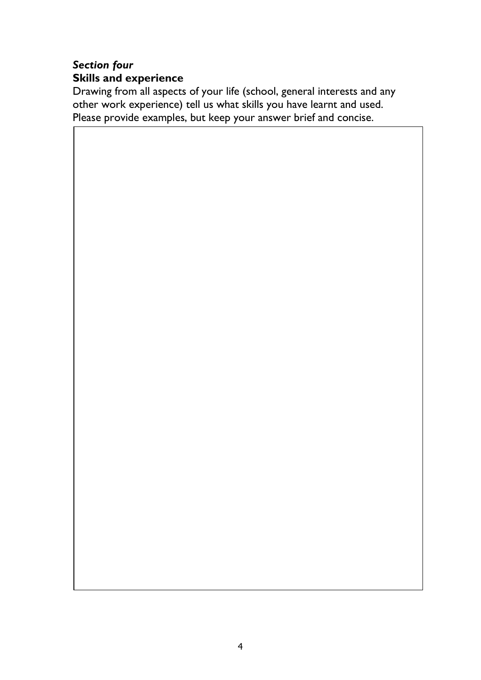# *Section four* **Skills and experience**

Drawing from all aspects of your life (school, general interests and any other work experience) tell us what skills you have learnt and used. Please provide examples, but keep your answer brief and concise.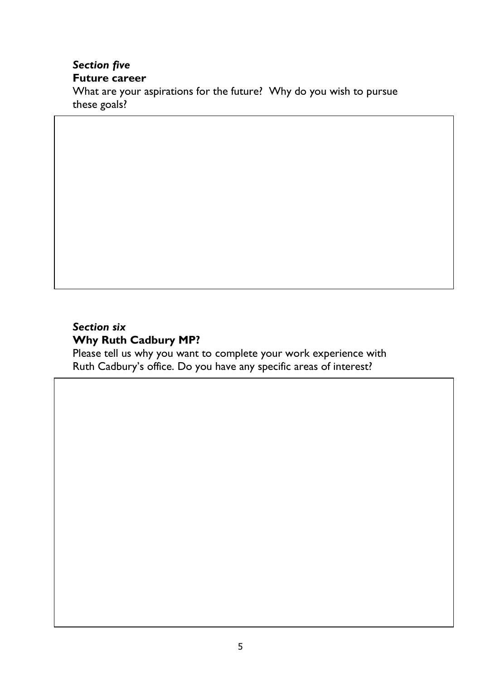## *Section five* **Future career**

What are your aspirations for the future? Why do you wish to pursue these goals?

### *Section six* **Why Ruth Cadbury MP?**

Please tell us why you want to complete your work experience with Ruth Cadbury's office. Do you have any specific areas of interest?